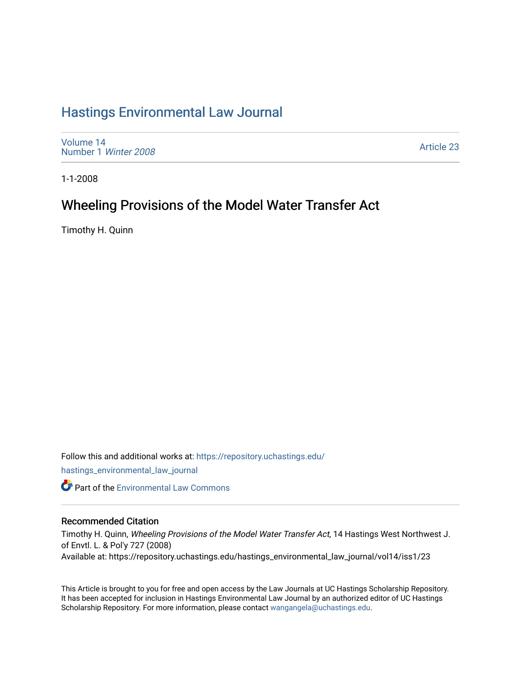# [Hastings Environmental Law Journal](https://repository.uchastings.edu/hastings_environmental_law_journal)

[Volume 14](https://repository.uchastings.edu/hastings_environmental_law_journal/vol14) [Number 1](https://repository.uchastings.edu/hastings_environmental_law_journal/vol14/iss1) Winter 2008

[Article 23](https://repository.uchastings.edu/hastings_environmental_law_journal/vol14/iss1/23) 

1-1-2008

# Wheeling Provisions of the Model Water Transfer Act

Timothy H. Quinn

Follow this and additional works at: [https://repository.uchastings.edu/](https://repository.uchastings.edu/hastings_environmental_law_journal?utm_source=repository.uchastings.edu%2Fhastings_environmental_law_journal%2Fvol14%2Fiss1%2F23&utm_medium=PDF&utm_campaign=PDFCoverPages) [hastings\\_environmental\\_law\\_journal](https://repository.uchastings.edu/hastings_environmental_law_journal?utm_source=repository.uchastings.edu%2Fhastings_environmental_law_journal%2Fvol14%2Fiss1%2F23&utm_medium=PDF&utm_campaign=PDFCoverPages) 

**C** Part of the [Environmental Law Commons](http://network.bepress.com/hgg/discipline/599?utm_source=repository.uchastings.edu%2Fhastings_environmental_law_journal%2Fvol14%2Fiss1%2F23&utm_medium=PDF&utm_campaign=PDFCoverPages)

# Recommended Citation

Timothy H. Quinn, Wheeling Provisions of the Model Water Transfer Act, 14 Hastings West Northwest J. of Envtl. L. & Pol'y 727 (2008) Available at: https://repository.uchastings.edu/hastings\_environmental\_law\_journal/vol14/iss1/23

This Article is brought to you for free and open access by the Law Journals at UC Hastings Scholarship Repository. It has been accepted for inclusion in Hastings Environmental Law Journal by an authorized editor of UC Hastings Scholarship Repository. For more information, please contact [wangangela@uchastings.edu.](mailto:wangangela@uchastings.edu)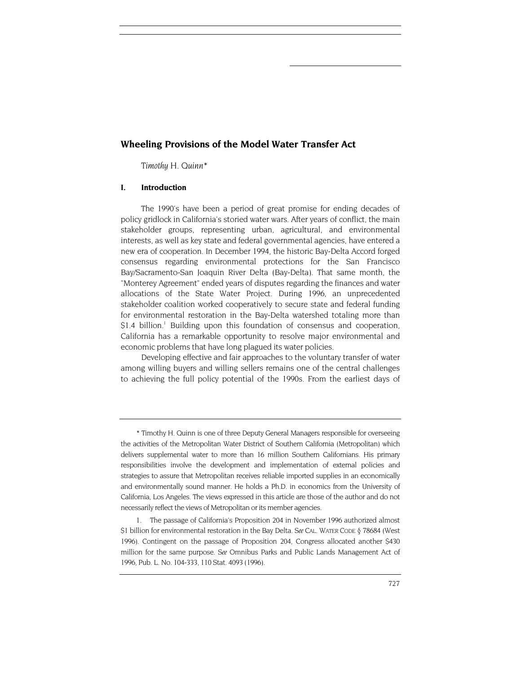# **Wheeling Provisions of the Model Water Transfer Act**

*Timothy H. Quin[n\\*](#page-1-0)* 

# **I. Introduction**

The 1990's have been a period of great promise for ending decades of policy gridlock in California's storied water wars. After years of conflict, the main stakeholder groups, representing urban, agricultural, and environmental interests, as well as key state and federal governmental agencies, have entered a new era of cooperation. In December 1994, the historic Bay-Delta Accord forged consensus regarding environmental protections for the San Francisco Bay/Sacramento-San Joaquin River Delta (Bay-Delta). That same month, the "Monterey Agreement" ended years of disputes regarding the finances and water allocations of the State Water Project. During 1996, an unprecedented stakeholder coalition worked cooperatively to secure state and federal funding for environmental restoration in the Bay-Delta watershed totaling more than \$1.4 billion.<sup>1</sup> Building upon this foundation of consensus and cooperation, California has a remarkable opportunity to resolve major environmental and economic problems that have long plagued its water policies.

Developing effective and fair approaches to the voluntary transfer of water among willing buyers and willing sellers remains one of the central challenges to achieving the full policy potential of the 1990s. From the earliest days of

<span id="page-1-0"></span><sup>\*</sup> Timothy H. Quinn is one of three Deputy General Managers responsible for overseeing the activities of the Metropolitan Water District of Southern California (Metropolitan) which delivers supplemental water to more than 16 million Southern Californians. His primary responsibilities involve the development and implementation of external policies and strategies to assure that Metropolitan receives reliable imported supplies in an economically and environmentally sound manner. He holds a Ph.D. in economics from the University of California, Los Angeles. The views expressed in this article are those of the author and do not necessarily reflect the views of Metropolitan or its member agencies.

<span id="page-1-1"></span><sup>1.</sup> The passage of California's Proposition 204 in November 1996 authorized almost \$1 billion for environmental restoration in the Bay Delta. *See* CAL. WATER CODE § 78684 (West 1996). Contingent on the passage of Proposition 204, Congress allocated another \$430 million for the same purpose. *See* Omnibus Parks and Public Lands Management Act of 1996, Pub. L. No. 104-333, 110 Stat. 4093 (1996).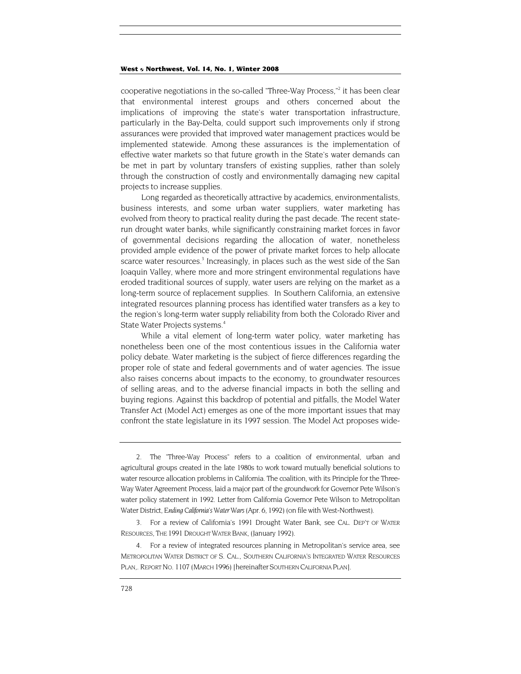cooperative negotiations [i](#page-2-0)n the so-called "Three-Way Process,"<sup>2</sup> it has been clear that environmental interest groups and others concerned about the implications of improving the state's water transportation infrastructure, particularly in the Bay-Delta, could support such improvements only if strong assurances were provided that improved water management practices would be implemented statewide. Among these assurances is the implementation of effective water markets so that future growth in the State's water demands can be met in part by voluntary transfers of existing supplies, rather than solely through the construction of costly and environmentally damaging new capital projects to increase supplies.

Long regarded as theoretically attractive by academics, environmentalists, business interests, and some urban water suppliers, water marketing has evolved from theory to practical reality during the past decade. The recent staterun drought water banks, while significantly constraining market forces in favor of governmental decisions regarding the allocation of water, nonetheless provided ample evidence of the power of private market forces to help allocate scarce water resources.<sup>3</sup> Increasingly, in places such as the west side of the San Joaquin Valley, where more and more stringent environmental regulations have eroded traditional sources of supply, water users are relying on the market as a long-term source of replacement supplies. In Southern California, an extensive integrated resources planning process has identified water transfers as a key to the region's long-term water supply reliability from both the Colorado River and State Water Projects systems.<sup>[4](#page-2-2)</sup>

While a vital element of long-term water policy, water marketing has nonetheless been one of the most contentious issues in the California water policy debate. Water marketing is the subject of fierce differences regarding the proper role of state and federal governments and of water agencies. The issue also raises concerns about impacts to the economy, to groundwater resources of selling areas, and to the adverse financial impacts in both the selling and buying regions. Against this backdrop of potential and pitfalls, the Model Water Transfer Act (Model Act) emerges as one of the more important issues that may confront the state legislature in its 1997 session. The Model Act proposes wide-

<span id="page-2-0"></span><sup>2.</sup> The "Three-Way Process" refers to a coalition of environmental, urban and agricultural groups created in the late 1980s to work toward mutually beneficial solutions to water resource allocation problems in California. The coalition, with its Principle for the Three-Way Water Agreement Process, laid a major part of the groundwork for Governor Pete Wilson's water policy statement in 1992. Letter from California Governor Pete Wilson to Metropolitan Water District, *Ending California's Water Wars* (Apr. 6, 1992) (on file with West-Northwest).

<span id="page-2-1"></span><sup>3.</sup> For a review of California's 1991 Drought Water Bank, see CAL. DEP'T OF WATER RESOURCES, THE 1991 DROUGHT WATER BANK, (January 1992).

<span id="page-2-2"></span><sup>4.</sup> For a review of integrated resources planning in Metropolitan's service area, see METROPOLITAN WATER DISTRICT OF S. CAL., SOUTHERN CALIFORNIA'S INTEGRATED WATER RESOURCES PLAN,. REPORT NO. 1107 (MARCH 1996) [hereinafter SOUTHERN CALIFORNIA PLAN].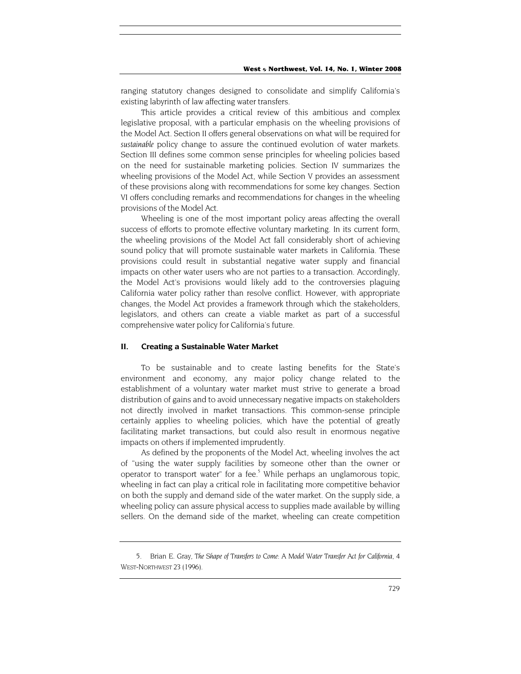ranging statutory changes designed to consolidate and simplify California's existing labyrinth of law affecting water transfers.

This article provides a critical review of this ambitious and complex legislative proposal, with a particular emphasis on the wheeling provisions of the Model Act. Section II offers general observations on what will be required for *sustainable* policy change to assure the continued evolution of water markets. Section III defines some common sense principles for wheeling policies based on the need for sustainable marketing policies. Section IV summarizes the wheeling provisions of the Model Act, while Section V provides an assessment of these provisions along with recommendations for some key changes. Section VI offers concluding remarks and recommendations for changes in the wheeling provisions of the Model Act.

Wheeling is one of the most important policy areas affecting the overall success of efforts to promote effective voluntary marketing. In its current form, the wheeling provisions of the Model Act fall considerably short of achieving sound policy that will promote sustainable water markets in California. These provisions could result in substantial negative water supply and financial impacts on other water users who are not parties to a transaction. Accordingly, the Model Act's provisions would likely add to the controversies plaguing California water policy rather than resolve conflict. However, with appropriate changes, the Model Act provides a framework through which the stakeholders, legislators, and others can create a viable market as part of a successful comprehensive water policy for California's future.

## **II. Creating a Sustainable Water Market**

To be sustainable and to create lasting benefits for the State's environment and economy, any major policy change related to the establishment of a voluntary water market must strive to generate a broad distribution of gains and to avoid unnecessary negative impacts on stakeholders not directly involved in market transactions. This common-sense principle certainly applies to wheeling policies, which have the potential of greatly facilitating market transactions, but could also result in enormous negative impacts on others if implemented imprudently.

As defined by the proponents of the Model Act, wheeling involves the act of "using the water supply facilities by someone other than the owner or operator to transport water" for a fee.<sup>5</sup> While perhaps an unglamorous topic, wheeling in fact can play a critical role in facilitating more competitive behavior on both the supply and demand side of the water market. On the supply side, a wheeling policy can assure physical access to supplies made available by willing sellers. On the demand side of the market, wheeling can create competition

<span id="page-3-0"></span><sup>5.</sup> Brian E. Gray, *The Shape of Transfers to Come: A Model Water Transfer Act for California,* 4 WEST-NORTHWEST 23 (1996).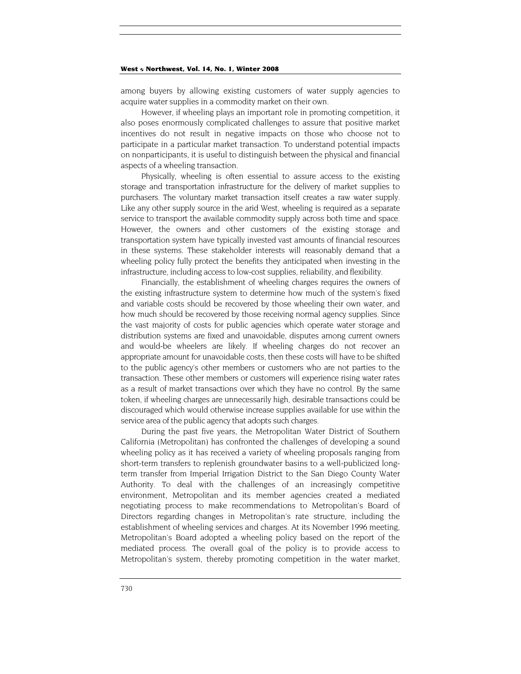among buyers by allowing existing customers of water supply agencies to acquire water supplies in a commodity market on their own.

However, if wheeling plays an important role in promoting competition, it also poses enormously complicated challenges to assure that positive market incentives do not result in negative impacts on those who choose not to participate in a particular market transaction. To understand potential impacts on nonparticipants, it is useful to distinguish between the physical and financial aspects of a wheeling transaction.

Physically, wheeling is often essential to assure access to the existing storage and transportation infrastructure for the delivery of market supplies to purchasers. The voluntary market transaction itself creates a raw water supply. Like any other supply source in the arid West, wheeling is required as a separate service to transport the available commodity supply across both time and space. However, the owners and other customers of the existing storage and transportation system have typically invested vast amounts of financial resources in these systems. These stakeholder interests will reasonably demand that a wheeling policy fully protect the benefits they anticipated when investing in the infrastructure, including access to low-cost supplies, reliability, and flexibility.

Financially, the establishment of wheeling charges requires the owners of the existing infrastructure system to determine how much of the system's fixed and variable costs should be recovered by those wheeling their own water, and how much should be recovered by those receiving normal agency supplies. Since the vast majority of costs for public agencies which operate water storage and distribution systems are fixed and unavoidable, disputes among current owners and would-be wheelers are likely. If wheeling charges do not recover an appropriate amount for unavoidable costs, then these costs will have to be shifted to the public agency's other members or customers who are not parties to the transaction. These other members or customers will experience rising water rates as a result of market transactions over which they have no control. By the same token, if wheeling charges are unnecessarily high, desirable transactions could be discouraged which would otherwise increase supplies available for use within the service area of the public agency that adopts such charges.

During the past five years, the Metropolitan Water District of Southern California (Metropolitan) has confronted the challenges of developing a sound wheeling policy as it has received a variety of wheeling proposals ranging from short-term transfers to replenish groundwater basins to a well-publicized longterm transfer from Imperial Irrigation District to the San Diego County Water Authority. To deal with the challenges of an increasingly competitive environment, Metropolitan and its member agencies created a mediated negotiating process to make recommendations to Metropolitan's Board of Directors regarding changes in Metropolitan's rate structure, including the establishment of wheeling services and charges. At its November 1996 meeting, Metropolitan's Board adopted a wheeling policy based on the report of the mediated process. The overall goal of the policy is to provide access to Metropolitan's system, thereby promoting competition in the water market,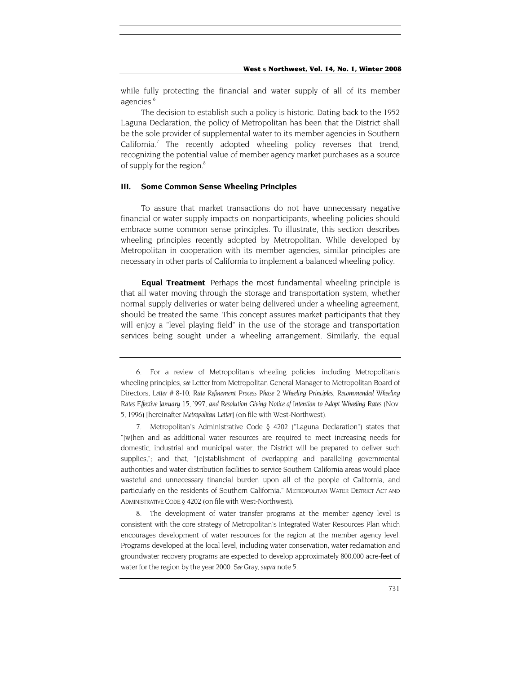while fully protecting the financial and water supply of all of its member agencies.<sup>6</sup>

The decision to establish such a policy is historic. Dating back to the 1952 Laguna Declaration, the policy of Metropolitan has been that the District shall be the sole provider of supplemental water to its member agencies in Southern California.<sup>7</sup> The recently adopted wheeling policy reverses that trend, recognizing the potential value of member agency market purchases as a source of supply for the region.<sup>8</sup>

# **III. Some Common Sense Wheeling Principles**

To assure that market transactions do not have unnecessary negative financial or water supply impacts on nonparticipants, wheeling policies should embrace some common sense principles. To illustrate, this section describes wheeling principles recently adopted by Metropolitan. While developed by Metropolitan in cooperation with its member agencies, similar principles are necessary in other parts of California to implement a balanced wheeling policy.

**Equal Treatment***.* Perhaps the most fundamental wheeling principle is that all water moving through the storage and transportation system, whether normal supply deliveries or water being delivered under a wheeling agreement, should be treated the same. This concept assures market participants that they will enjoy a "level playing field" in the use of the storage and transportation services being sought under a wheeling arrangement. Similarly, the equal

<span id="page-5-2"></span>8. The development of water transfer programs at the member agency level is consistent with the core strategy of Metropolitan's Integrated Water Resources Plan which encourages development of water resources for the region at the member agency level. Programs developed at the local level, including water conservation, water reclamation and groundwater recovery programs are expected to develop approximately 800,000 acre-feet of water for the region by the year 2000. *See* Gray, *supra* note 5.

<span id="page-5-0"></span><sup>6.</sup> For a review of Metropolitan's wheeling policies, including Metropolitan's wheeling principles, *see* Letter from Metropolitan General Manager to Metropolitan Board of Directors, *Letter # 8-10, Rate Refinement Process Phase 2 Wheeling Principles, Recommended Wheeling Rates Effective January 15, `997, and Resolution Giving Notice of Intention to Adopt Wheeling Rates* (Nov. 5, 1996) [hereinafter *Metropolitan Letter]* (on file with West-Northwest).

<span id="page-5-1"></span><sup>7.</sup> Metropolitan's Administrative Code § 4202 ("Laguna Declaration") states that "[w]hen and as additional water resources are required to meet increasing needs for domestic, industrial and municipal water, the District will be prepared to deliver such supplies,"; and that, "[e]stablishment of overlapping and paralleling governmental authorities and water distribution facilities to service Southern California areas would place wasteful and unnecessary financial burden upon all of the people of California, and particularly on the residents of Southern California." METROPOLITAN WATER DISTRICT ACT AND ADMINISTRATIVE CODE § 4202 (on file with West-Northwest).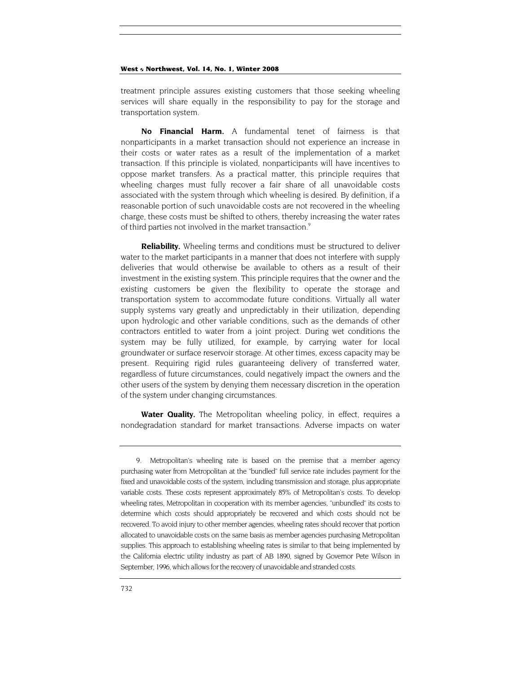treatment principle assures existing customers that those seeking wheeling services will share equally in the responsibility to pay for the storage and transportation system.

**No Financial Harm.** A fundamental tenet of fairness is that nonparticipants in a market transaction should not experience an increase in their costs or water rates as a result of the implementation of a market transaction. If this principle is violated, nonparticipants will have incentives to oppose market transfers. As a practical matter, this principle requires that wheeling charges must fully recover a fair share of all unavoidable costs associated with the system through which wheeling is desired. By definition, if a reasonable portion of such unavoidable costs are not recovered in the wheeling charge, these costs must be shifted to others, thereby increasing the water rates of third parties not involved in the market transaction.<sup>9</sup>

**Reliability.** Wheeling terms and conditions must be structured to deliver water to the market participants in a manner that does not interfere with supply deliveries that would otherwise be available to others as a result of their investment in the existing system. This principle requires that the owner and the existing customers be given the flexibility to operate the storage and transportation system to accommodate future conditions. Virtually all water supply systems vary greatly and unpredictably in their utilization, depending upon hydrologic and other variable conditions, such as the demands of other contractors entitled to water from a joint project. During wet conditions the system may be fully utilized, for example, by carrying water for local groundwater or surface reservoir storage. At other times, excess capacity may be present. Requiring rigid rules guaranteeing delivery of transferred water, regardless of future circumstances, could negatively impact the owners and the other users of the system by denying them necessary discretion in the operation of the system under changing circumstances.

**Water Quality.** The Metropolitan wheeling policy, in effect, requires a nondegradation standard for market transactions. Adverse impacts on water

<span id="page-6-0"></span><sup>9.</sup> Metropolitan's wheeling rate is based on the premise that a member agency purchasing water from Metropolitan at the "bundled" full service rate includes payment for the fixed and unavoidable costs of the system, including transmission and storage, plus appropriate variable costs. These costs represent approximately 85% of Metropolitan's costs. To develop wheeling rates, Metropolitan in cooperation with its member agencies, "unbundled" its costs to determine which costs should appropriately be recovered and which costs should not be recovered. To avoid injury to other member agencies, wheeling rates should recover that portion allocated to unavoidable costs on the same basis as member agencies purchasing Metropolitan supplies. This approach to establishing wheeling rates is similar to that being implemented by the California electric utility industry as part of AB 1890, signed by Governor Pete Wilson in September, 1996, which allows for the recovery of unavoidable and stranded costs.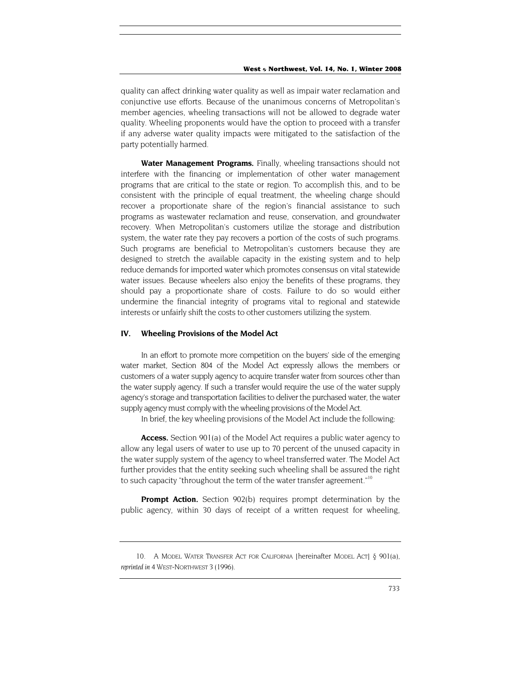quality can affect drinking water quality as well as impair water reclamation and conjunctive use efforts. Because of the unanimous concerns of Metropolitan's member agencies, wheeling transactions will not be allowed to degrade water quality. Wheeling proponents would have the option to proceed with a transfer if any adverse water quality impacts were mitigated to the satisfaction of the party potentially harmed.

**Water Management Programs.** Finally, wheeling transactions should not interfere with the financing or implementation of other water management programs that are critical to the state or region. To accomplish this, and to be consistent with the principle of equal treatment, the wheeling charge should recover a proportionate share of the region's financial assistance to such programs as wastewater reclamation and reuse, conservation, and groundwater recovery. When Metropolitan's customers utilize the storage and distribution system, the water rate they pay recovers a portion of the costs of such programs. Such programs are beneficial to Metropolitan's customers because they are designed to stretch the available capacity in the existing system and to help reduce demands for imported water which promotes consensus on vital statewide water issues. Because wheelers also enjoy the benefits of these programs, they should pay a proportionate share of costs. Failure to do so would either undermine the financial integrity of programs vital to regional and statewide interests or unfairly shift the costs to other customers utilizing the system.

## **IV. Wheeling Provisions of the Model Act**

In an effort to promote more competition on the buyers' side of the emerging water market, Section 804 of the Model Act expressly allows the members or customers of a water supply agency to acquire transfer water from sources other than the water supply agency. If such a transfer would require the use of the water supply agency's storage and transportation facilities to deliver the purchased water, the water supply agency must comply with the wheeling provisions of the Model Act.

In brief, the key wheeling provisions of the Model Act include the following:

**Access.** Section 901(a) of the Model Act requires a public water agency to allow any legal users of water to use up to 70 percent of the unused capacity in the water supply system of the agency to wheel transferred water. The Model Act further provides that the entity seeking such wheeling shall be assured the right to such capacity "throughout the term of the water transfer agreement."<sup>10</sup>

**Prompt Action.** Section 902(b) requires prompt determination by the public agency, within 30 days of receipt of a written request for wheeling,

<span id="page-7-0"></span><sup>10.</sup> A MODEL WATER TRANSFER ACT FOR CALIFORNIA [hereinafter MODEL ACT] § 901(a), *reprinted in* 4 WEST-NORTHWEST 3 (1996).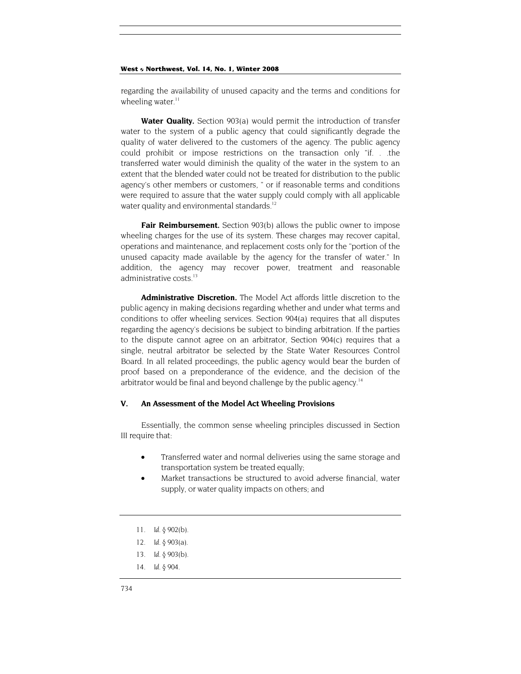regarding the availability of unused capacity and the terms and conditions for wheeling water. $11$ 

**Water Quality.** Section 903(a) would permit the introduction of transfer water to the system of a public agency that could significantly degrade the quality of water delivered to the customers of the agency. The public agency could prohibit or impose restrictions on the transaction only "if. . .the transferred water would diminish the quality of the water in the system to an extent that the blended water could not be treated for distribution to the public agency's other members or customers, " or if reasonable terms and conditions were required to assure that the water supply could comply with all applicable water quality and environmental standards.<sup>[12](#page-8-1)</sup>

Fair Reimbursement. Section 903(b) allows the public owner to impose wheeling charges for the use of its system. These charges may recover capital, operations and maintenance, and replacement costs only for the "portion of the unused capacity made available by the agency for the transfer of water." In addition, the agency may recover power, treatment and reasonable administrative costs.<sup>[13](#page-8-2)</sup>

**Administrative Discretion.** The Model Act affords little discretion to the public agency in making decisions regarding whether and under what terms and conditions to offer wheeling services. Section 904(a) requires that all disputes regarding the agency's decisions be subject to binding arbitration. If the parties to the dispute cannot agree on an arbitrator, Section 904(c) requires that a single, neutral arbitrator be selected by the State Water Resources Control Board. In all related proceedings, the public agency would bear the burden of proof based on a preponderance of the evidence, and the decision of the arbitrator would be final and beyond challenge by the public agency.<sup>14</sup>

# **V. An Assessment of the Model Act Wheeling Provisions**

Essentially, the common sense wheeling principles discussed in Section III require that:

- Transferred water and normal deliveries using the same storage and transportation system be treated equally;
- Market transactions be structured to avoid adverse financial, water supply, or water quality impacts on others; and
- <span id="page-8-0"></span>11*. Id.* § 902(b).
- <span id="page-8-1"></span>12*. Id.* § 903(a).
- <span id="page-8-2"></span>13*. Id.* § 903(b).
- <span id="page-8-3"></span>14*. Id.* § 904.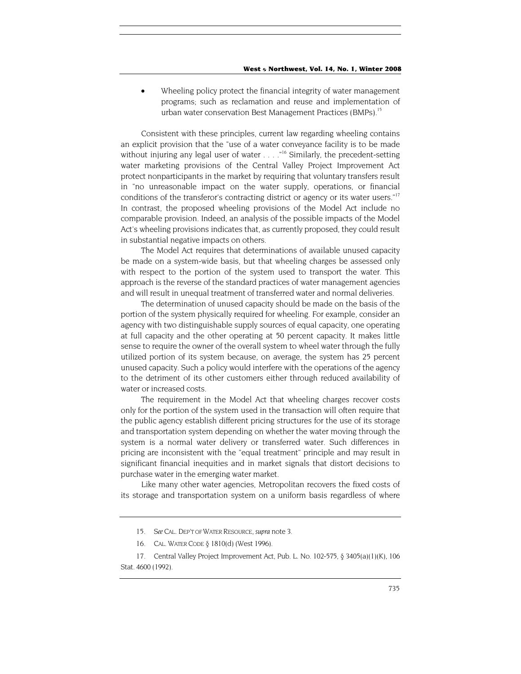• Wheeling policy protect the financial integrity of water management programs; such as reclamation and reuse and implementation of urban water conservation Best Management Practices (BMPs).<sup>15</sup>

Consistent with these principles, current law regarding wheeling contains an explicit provision that the "use of a water conveyance facility is to be made without injuring any legal user of water  $\ldots$  ."<sup>16</sup> Similarly, the precedent-setting water marketing provisions of the Central Valley Project Improvement Act protect nonparticipants in the market by requiring that voluntary transfers result in "no unreasonable impact on the water supply, operations, or financial conditions of the transferor's contracting district or agency or its water users.["17](#page-9-2) In contrast, the proposed wheeling provisions of the Model Act include no comparable provision. Indeed, an analysis of the possible impacts of the Model Act's wheeling provisions indicates that, as currently proposed, they could result in substantial negative impacts on others.

The Model Act requires that determinations of available unused capacity be made on a system-wide basis, but that wheeling charges be assessed only with respect to the portion of the system used to transport the water. This approach is the reverse of the standard practices of water management agencies and will result in unequal treatment of transferred water and normal deliveries.

The determination of unused capacity should be made on the basis of the portion of the system physically required for wheeling. For example, consider an agency with two distinguishable supply sources of equal capacity, one operating at full capacity and the other operating at 50 percent capacity. It makes little sense to require the owner of the overall system to wheel water through the fully utilized portion of its system because, on average, the system has 25 percent unused capacity. Such a policy would interfere with the operations of the agency to the detriment of its other customers either through reduced availability of water or increased costs.

The requirement in the Model Act that wheeling charges recover costs only for the portion of the system used in the transaction will often require that the public agency establish different pricing structures for the use of its storage and transportation system depending on whether the water moving through the system is a normal water delivery or transferred water. Such differences in pricing are inconsistent with the "equal treatment" principle and may result in significant financial inequities and in market signals that distort decisions to purchase water in the emerging water market.

Like many other water agencies, Metropolitan recovers the fixed costs of its storage and transportation system on a uniform basis regardless of where

<span id="page-9-0"></span><sup>15</sup>*. See* CAL. DEP'T OF WATER RESOURCE, *supra* note 3.

<sup>16.</sup> CAL. WATER CODE § 1810(d) (West 1996).

<span id="page-9-2"></span><span id="page-9-1"></span><sup>17.</sup> Central Valley Project Improvement Act, Pub. L. No. 102-575, § 3405(a)(1)(K), 106 Stat. 4600 (1992).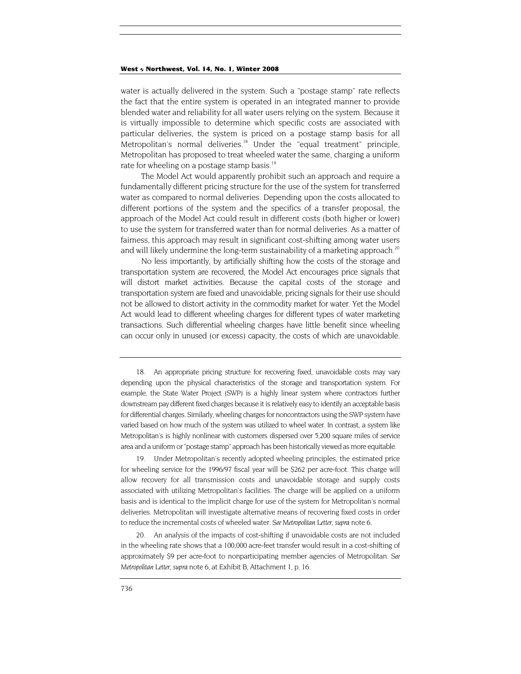water is actually delivered in the system. Such a "postage stamp" rate reflects the fact that the entire system is operated in an integrated manner to provide blended water and reliability for all water users relying on the system. Because it is virtually impossible to determine which specific costs are associated with particular deliveries, the system is priced on a postage stamp basis for all Metropolitan's normal deliveries.<sup>18</sup> Under the "equal treatment" principle, Metropolitan has proposed to treat wheeled water the same, charging a uniform rate for wheeling on a postage stamp basis.<sup>19</sup>

The Model Act would apparently prohibit such an approach and require a fundamentally different pricing structure for the use of the system for transferred water as compared to normal deliveries. Depending upon the costs allocated to different portions of the system and the specifics of a transfer proposal, the approach of the Model Act could result in different costs (both higher or lower) to use the system for transferred water than for normal deliveries. As a matter of fairness, this approach may result in significant cost-shifting among water users and will likely undermine the long-term sustainability of a marketing approach.<sup>20</sup>

No less importantly, by artificially shifting how the costs of the storage and transportation system are recovered, the Model Act encourages price signals that will distort market activities. Because the capital costs of the storage and transportation system are fixed and unavoidable, pricing signals for their use should not be allowed to distort activity in the commodity market for water. Yet the Model Act would lead to different wheeling charges for different types of water marketing transactions. Such differential wheeling charges have little benefit since wheeling can occur only in unused (or excess) capacity, the costs of which are unavoidable.

<span id="page-10-1"></span>19. Under Metropolitan's recently adopted wheeling principles, the estimated price for wheeling service for the 1996/97 fiscal year will be \$262 per acre-foot. This charge will allow recovery for all transmission costs and unavoidable storage and supply costs associated with utilizing Metropolitan's facilities. The charge will be applied on a uniform basis and is identical to the implicit charge for use of the system for Metropolitan's normal deliveries. Metropolitan will investigate alternative means of recovering fixed costs in order to reduce the incremental costs of wheeled water. *See Metropolitan Letter, supra* note 6.

<span id="page-10-2"></span>20. An analysis of the impacts of cost-shifting if unavoidable costs are not included in the wheeling rate shows that a 100,000 acre-feet transfer would result in a cost-shifting of approximately \$9 per acre-foot to nonparticipating member agencies of Metropolitan. *See Metropolitan Letter, supra* note 6, at Exhibit B, Attachment 1, p. 16.

<span id="page-10-0"></span><sup>18.</sup> An appropriate pricing structure for recovering fixed, unavoidable costs may vary depending upon the physical characteristics of the storage and transportation system. For example, the State Water Project (SWP) is a highly linear system where contractors further downstream pay different fixed charges because it is relatively easy to identify an acceptable basis for differential charges. Similarly, wheeling charges for noncontractors using the SWP system have varied based on how much of the system was utilized to wheel water. In contrast, a system like Metropolitan's is highly nonlinear with customers dispersed over 5,200 square miles of service area and a uniform or "postage stamp" approach has been historically viewed as more equitable.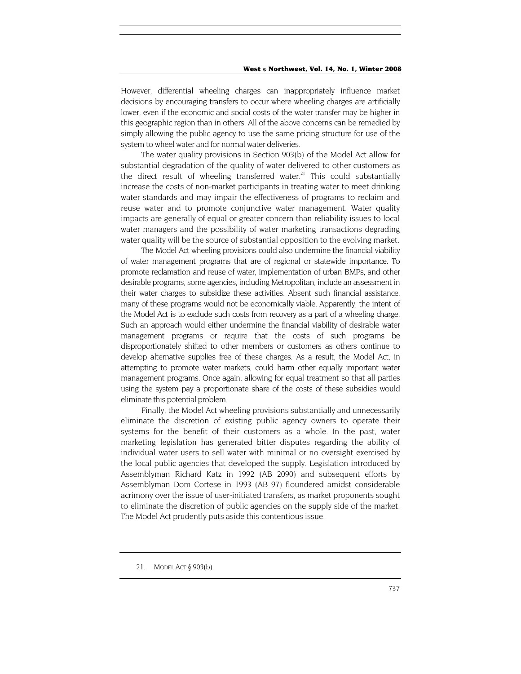However, differential wheeling charges can inappropriately influence market decisions by encouraging transfers to occur where wheeling charges are artificially lower, even if the economic and social costs of the water transfer may be higher in this geographic region than in others. All of the above concerns can be remedied by simply allowing the public agency to use the same pricing structure for use of the system to wheel water and for normal water deliveries.

The water quality provisions in Section 903(b) of the Model Act allow for substantial degradation of the quality of water delivered to other customers as the direct result of wheeling transferred water.<sup>21</sup> This could substantially increase the costs of non-market participants in treating water to meet drinking water standards and may impair the effectiveness of programs to reclaim and reuse water and to promote conjunctive water management. Water quality impacts are generally of equal or greater concern than reliability issues to local water managers and the possibility of water marketing transactions degrading water quality will be the source of substantial opposition to the evolving market.

The Model Act wheeling provisions could also undermine the financial viability of water management programs that are of regional or statewide importance. To promote reclamation and reuse of water, implementation of urban BMPs, and other desirable programs, some agencies, including Metropolitan, include an assessment in their water charges to subsidize these activities. Absent such financial assistance, many of these programs would not be economically viable. Apparently, the intent of the Model Act is to exclude such costs from recovery as a part of a wheeling charge. Such an approach would either undermine the financial viability of desirable water management programs or require that the costs of such programs be disproportionately shifted to other members or customers as others continue to develop alternative supplies free of these charges. As a result, the Model Act, in attempting to promote water markets, could harm other equally important water management programs. Once again, allowing for equal treatment so that all parties using the system pay a proportionate share of the costs of these subsidies would eliminate this potential problem.

Finally, the Model Act wheeling provisions substantially and unnecessarily eliminate the discretion of existing public agency owners to operate their systems for the benefit of their customers as a whole. In the past, water marketing legislation has generated bitter disputes regarding the ability of individual water users to sell water with minimal or no oversight exercised by the local public agencies that developed the supply. Legislation introduced by Assemblyman Richard Katz in 1992 (AB 2090) and subsequent efforts by Assemblyman Dom Cortese in 1993 (AB 97) floundered amidst considerable acrimony over the issue of user-initiated transfers, as market proponents sought to eliminate the discretion of public agencies on the supply side of the market. The Model Act prudently puts aside this contentious issue.

<span id="page-11-0"></span><sup>21.</sup> MODEL ACT § 903(b).